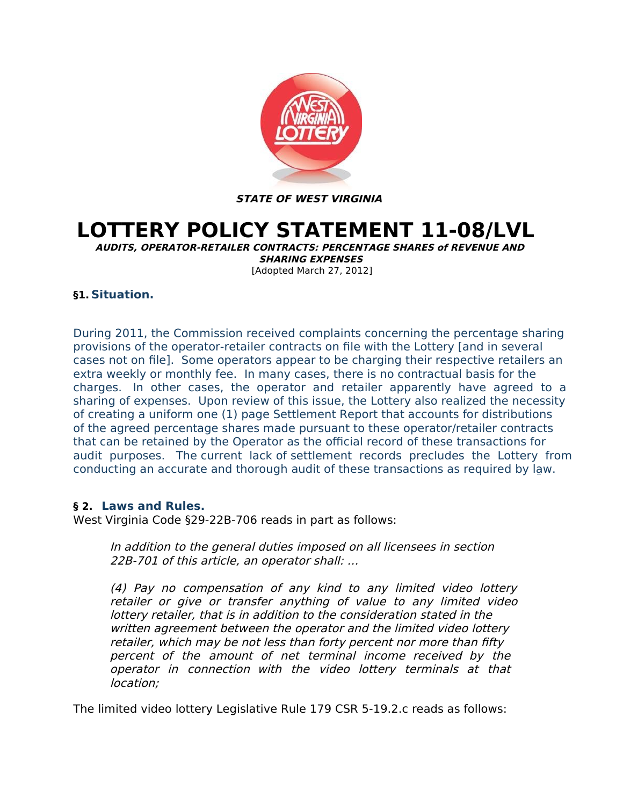

**STATE OF WEST VIRGINIA**

# **LOTTERY POLICY STATEMENT 11-08/LVL**

**AUDITS, OPERATOR-RETAILER CONTRACTS: PERCENTAGE SHARES of REVENUE AND SHARING EXPENSES** [Adopted March 27, 2012]

# **§1. Situation.**

During 2011, the Commission received complaints concerning the percentage sharing provisions of the operator-retailer contracts on file with the Lottery [and in several cases not on file]. Some operators appear to be charging their respective retailers an extra weekly or monthly fee. In many cases, there is no contractual basis for the charges. In other cases, the operator and retailer apparently have agreed to a sharing of expenses. Upon review of this issue, the Lottery also realized the necessity of creating a uniform one (1) page Settlement Report that accounts for distributions of the agreed percentage shares made pursuant to these operator/retailer contracts that can be retained by the Operator as the official record of these transactions for audit purposes. The current lack of settlement records precludes the Lottery from conducting an accurate and thorough audit of these transactions as required by law.

# **§ 2. Laws and Rules.**

West Virginia Code §29-22B-706 reads in part as follows:

In addition to the general duties imposed on all licensees in section 22B-701 of this article, an operator shall: …

(4) Pay no compensation of any kind to any limited video lottery retailer or give or transfer anything of value to any limited video lottery retailer, that is in addition to the consideration stated in the written agreement between the operator and the limited video lottery retailer, which may be not less than forty percent nor more than fifty percent of the amount of net terminal income received by the operator in connection with the video lottery terminals at that location;

The limited video lottery Legislative Rule 179 CSR 5-19.2.c reads as follows: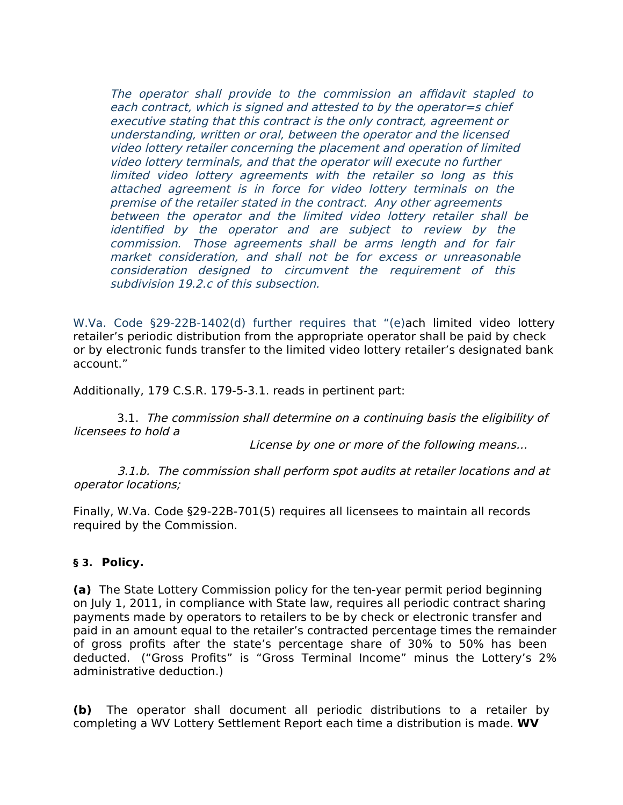The operator shall provide to the commission an affidavit stapled to each contract, which is signed and attested to by the operator=s chief executive stating that this contract is the only contract, agreement or understanding, written or oral, between the operator and the licensed video lottery retailer concerning the placement and operation of limited video lottery terminals, and that the operator will execute no further limited video lottery agreements with the retailer so long as this attached agreement is in force for video lottery terminals on the premise of the retailer stated in the contract. Any other agreements between the operator and the limited video lottery retailer shall be identified by the operator and are subject to review by the commission. Those agreements shall be arms length and for fair market consideration, and shall not be for excess or unreasonable consideration designed to circumvent the requirement of this subdivision 19.2.c of this subsection.

W.Va. Code §29-22B-1402(d) further requires that "(e)ach limited video lottery retailer's periodic distribution from the appropriate operator shall be paid by check or by electronic funds transfer to the limited video lottery retailer's designated bank account."

Additionally, 179 C.S.R. 179-5-3.1. reads in pertinent part:

 3.1. The commission shall determine on a continuing basis the eligibility of licensees to hold a

License by one or more of the following means…

 3.1.b. The commission shall perform spot audits at retailer locations and at operator locations;

Finally, W.Va. Code §29-22B-701(5) requires all licensees to maintain all records required by the Commission.

# **§ 3. Policy.**

**(a)** The State Lottery Commission policy for the ten-year permit period beginning on July 1, 2011, in compliance with State law, requires all periodic contract sharing payments made by operators to retailers to be by check or electronic transfer and paid in an amount equal to the retailer's contracted percentage times the remainder of gross profits after the state's percentage share of 30% to 50% has been deducted. ("Gross Profits" is "Gross Terminal Income" minus the Lottery's 2% administrative deduction.)

**(b)** The operator shall document all periodic distributions to a retailer by completing a WV Lottery Settlement Report each time a distribution is made. **WV**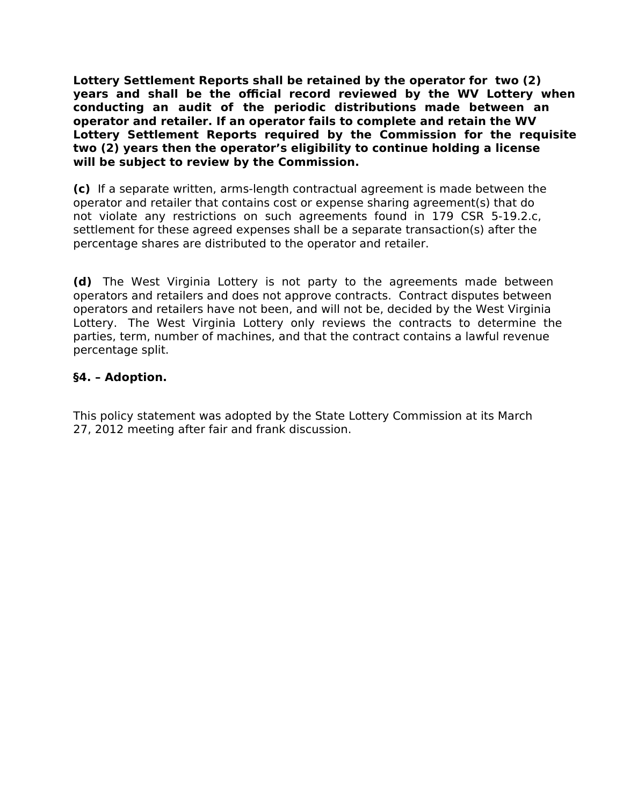**Lottery Settlement Reports shall be retained by the operator for two (2) years and shall be the official record reviewed by the WV Lottery when conducting an audit of the periodic distributions made between an operator and retailer. If an operator fails to complete and retain the WV Lottery Settlement Reports required by the Commission for the requisite two (2) years then the operator's eligibility to continue holding a license will be subject to review by the Commission.** 

**(c)** If a separate written, arms-length contractual agreement is made between the operator and retailer that contains cost or expense sharing agreement(s) that do not violate any restrictions on such agreements found in 179 CSR 5-19.2.c, settlement for these agreed expenses shall be a separate transaction(s) after the percentage shares are distributed to the operator and retailer.

**(d)** The West Virginia Lottery is not party to the agreements made between operators and retailers and does not approve contracts. Contract disputes between operators and retailers have not been, and will not be, decided by the West Virginia Lottery. The West Virginia Lottery only reviews the contracts to determine the parties, term, number of machines, and that the contract contains a lawful revenue percentage split.

# **§4. – Adoption.**

This policy statement was adopted by the State Lottery Commission at its March 27, 2012 meeting after fair and frank discussion.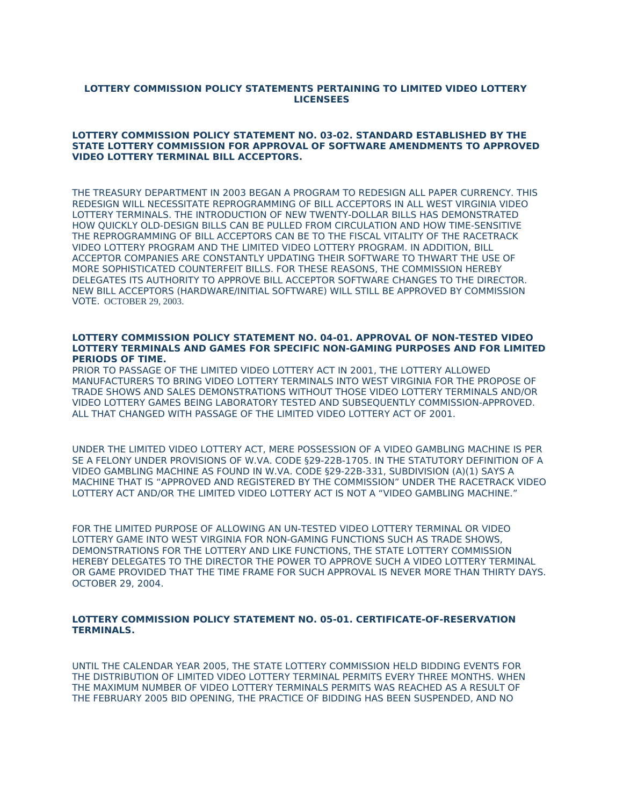## **LOTTERY COMMISSION POLICY STATEMENTS PERTAINING TO LIMITED VIDEO LOTTERY LICENSEES**

## **LOTTERY COMMISSION POLICY STATEMENT NO. 03-02. STANDARD ESTABLISHED BY THE STATE LOTTERY COMMISSION FOR APPROVAL OF SOFTWARE AMENDMENTS TO APPROVED VIDEO LOTTERY TERMINAL BILL ACCEPTORS.**

THE TREASURY DEPARTMENT IN 2003 BEGAN A PROGRAM TO REDESIGN ALL PAPER CURRENCY. THIS REDESIGN WILL NECESSITATE REPROGRAMMING OF BILL ACCEPTORS IN ALL WEST VIRGINIA VIDEO LOTTERY TERMINALS. THE INTRODUCTION OF NEW TWENTY-DOLLAR BILLS HAS DEMONSTRATED HOW QUICKLY OLD-DESIGN BILLS CAN BE PULLED FROM CIRCULATION AND HOW TIME-SENSITIVE THE REPROGRAMMING OF BILL ACCEPTORS CAN BE TO THE FISCAL VITALITY OF THE RACETRACK VIDEO LOTTERY PROGRAM AND THE LIMITED VIDEO LOTTERY PROGRAM. IN ADDITION, BILL ACCEPTOR COMPANIES ARE CONSTANTLY UPDATING THEIR SOFTWARE TO THWART THE USE OF MORE SOPHISTICATED COUNTERFEIT BILLS. FOR THESE REASONS, THE COMMISSION HEREBY DELEGATES ITS AUTHORITY TO APPROVE BILL ACCEPTOR SOFTWARE CHANGES TO THE DIRECTOR. NEW BILL ACCEPTORS (HARDWARE/INITIAL SOFTWARE) WILL STILL BE APPROVED BY COMMISSION VOTE. OCTOBER 29, 2003.

#### **LOTTERY COMMISSION POLICY STATEMENT NO. 04-01. APPROVAL OF NON-TESTED VIDEO LOTTERY TERMINALS AND GAMES FOR SPECIFIC NON-GAMING PURPOSES AND FOR LIMITED PERIODS OF TIME.**

PRIOR TO PASSAGE OF THE LIMITED VIDEO LOTTERY ACT IN 2001, THE LOTTERY ALLOWED MANUFACTURERS TO BRING VIDEO LOTTERY TERMINALS INTO WEST VIRGINIA FOR THE PROPOSE OF TRADE SHOWS AND SALES DEMONSTRATIONS WITHOUT THOSE VIDEO LOTTERY TERMINALS AND/OR VIDEO LOTTERY GAMES BEING LABORATORY TESTED AND SUBSEQUENTLY COMMISSION-APPROVED. ALL THAT CHANGED WITH PASSAGE OF THE LIMITED VIDEO LOTTERY ACT OF 2001.

UNDER THE LIMITED VIDEO LOTTERY ACT, MERE POSSESSION OF A VIDEO GAMBLING MACHINE IS PER SE A FELONY UNDER PROVISIONS OF W.VA. CODE §29-22B-1705. IN THE STATUTORY DEFINITION OF A VIDEO GAMBLING MACHINE AS FOUND IN W.VA. CODE §29-22B-331, SUBDIVISION (A)(1) SAYS A MACHINE THAT IS "APPROVED AND REGISTERED BY THE COMMISSION" UNDER THE RACETRACK VIDEO LOTTERY ACT AND/OR THE LIMITED VIDEO LOTTERY ACT IS NOT A "VIDEO GAMBLING MACHINE."

FOR THE LIMITED PURPOSE OF ALLOWING AN UN-TESTED VIDEO LOTTERY TERMINAL OR VIDEO LOTTERY GAME INTO WEST VIRGINIA FOR NON-GAMING FUNCTIONS SUCH AS TRADE SHOWS, DEMONSTRATIONS FOR THE LOTTERY AND LIKE FUNCTIONS, THE STATE LOTTERY COMMISSION HEREBY DELEGATES TO THE DIRECTOR THE POWER TO APPROVE SUCH A VIDEO LOTTERY TERMINAL OR GAME PROVIDED THAT THE TIME FRAME FOR SUCH APPROVAL IS NEVER MORE THAN THIRTY DAYS. OCTOBER 29, 2004.

## **LOTTERY COMMISSION POLICY STATEMENT NO. 05-01. CERTIFICATE-OF-RESERVATION TERMINALS.**

UNTIL THE CALENDAR YEAR 2005, THE STATE LOTTERY COMMISSION HELD BIDDING EVENTS FOR THE DISTRIBUTION OF LIMITED VIDEO LOTTERY TERMINAL PERMITS EVERY THREE MONTHS. WHEN THE MAXIMUM NUMBER OF VIDEO LOTTERY TERMINALS PERMITS WAS REACHED AS A RESULT OF THE FEBRUARY 2005 BID OPENING, THE PRACTICE OF BIDDING HAS BEEN SUSPENDED, AND NO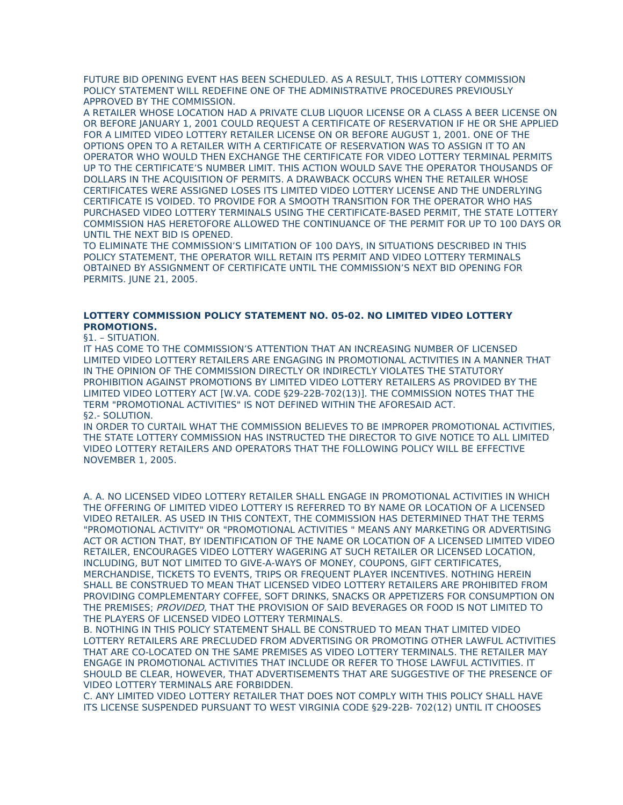FUTURE BID OPENING EVENT HAS BEEN SCHEDULED. AS A RESULT, THIS LOTTERY COMMISSION POLICY STATEMENT WILL REDEFINE ONE OF THE ADMINISTRATIVE PROCEDURES PREVIOUSLY APPROVED BY THE COMMISSION.

A RETAILER WHOSE LOCATION HAD A PRIVATE CLUB LIQUOR LICENSE OR A CLASS A BEER LICENSE ON OR BEFORE JANUARY 1, 2001 COULD REQUEST A CERTIFICATE OF RESERVATION IF HE OR SHE APPLIED FOR A LIMITED VIDEO LOTTERY RETAILER LICENSE ON OR BEFORE AUGUST 1, 2001. ONE OF THE OPTIONS OPEN TO A RETAILER WITH A CERTIFICATE OF RESERVATION WAS TO ASSIGN IT TO AN OPERATOR WHO WOULD THEN EXCHANGE THE CERTIFICATE FOR VIDEO LOTTERY TERMINAL PERMITS UP TO THE CERTIFICATE'S NUMBER LIMIT. THIS ACTION WOULD SAVE THE OPERATOR THOUSANDS OF DOLLARS IN THE ACQUISITION OF PERMITS. A DRAWBACK OCCURS WHEN THE RETAILER WHOSE CERTIFICATES WERE ASSIGNED LOSES ITS LIMITED VIDEO LOTTERY LICENSE AND THE UNDERLYING CERTIFICATE IS VOIDED. TO PROVIDE FOR A SMOOTH TRANSITION FOR THE OPERATOR WHO HAS PURCHASED VIDEO LOTTERY TERMINALS USING THE CERTIFICATE-BASED PERMIT, THE STATE LOTTERY COMMISSION HAS HERETOFORE ALLOWED THE CONTINUANCE OF THE PERMIT FOR UP TO 100 DAYS OR UNTIL THE NEXT BID IS OPENED.

TO ELIMINATE THE COMMISSION'S LIMITATION OF 100 DAYS, IN SITUATIONS DESCRIBED IN THIS POLICY STATEMENT, THE OPERATOR WILL RETAIN ITS PERMIT AND VIDEO LOTTERY TERMINALS OBTAINED BY ASSIGNMENT OF CERTIFICATE UNTIL THE COMMISSION'S NEXT BID OPENING FOR PERMITS. JUNE 21, 2005.

# **LOTTERY COMMISSION POLICY STATEMENT NO. 05-02. NO LIMITED VIDEO LOTTERY PROMOTIONS.**

## §1. – SITUATION.

IT HAS COME TO THE COMMISSION'S ATTENTION THAT AN INCREASING NUMBER OF LICENSED LIMITED VIDEO LOTTERY RETAILERS ARE ENGAGING IN PROMOTIONAL ACTIVITIES IN A MANNER THAT IN THE OPINION OF THE COMMISSION DIRECTLY OR INDIRECTLY VIOLATES THE STATUTORY PROHIBITION AGAINST PROMOTIONS BY LIMITED VIDEO LOTTERY RETAILERS AS PROVIDED BY THE LIMITED VIDEO LOTTERY ACT [W.VA. CODE §29-22B-702(13)]. THE COMMISSION NOTES THAT THE TERM "PROMOTIONAL ACTIVITIES" IS NOT DEFINED WITHIN THE AFORESAID ACT. §2.- SOLUTION.

IN ORDER TO CURTAIL WHAT THE COMMISSION BELIEVES TO BE IMPROPER PROMOTIONAL ACTIVITIES, THE STATE LOTTERY COMMISSION HAS INSTRUCTED THE DIRECTOR TO GIVE NOTICE TO ALL LIMITED VIDEO LOTTERY RETAILERS AND OPERATORS THAT THE FOLLOWING POLICY WILL BE EFFECTIVE NOVEMBER 1, 2005.

A. A. NO LICENSED VIDEO LOTTERY RETAILER SHALL ENGAGE IN PROMOTIONAL ACTIVITIES IN WHICH THE OFFERING OF LIMITED VIDEO LOTTERY IS REFERRED TO BY NAME OR LOCATION OF A LICENSED VIDEO RETAILER. AS USED IN THIS CONTEXT, THE COMMISSION HAS DETERMINED THAT THE TERMS "PROMOTIONAL ACTIVITY" OR "PROMOTIONAL ACTIVITIES " MEANS ANY MARKETING OR ADVERTISING ACT OR ACTION THAT, BY IDENTIFICATION OF THE NAME OR LOCATION OF A LICENSED LIMITED VIDEO RETAILER, ENCOURAGES VIDEO LOTTERY WAGERING AT SUCH RETAILER OR LICENSED LOCATION, INCLUDING, BUT NOT LIMITED TO GIVE-A-WAYS OF MONEY, COUPONS, GIFT CERTIFICATES, MERCHANDISE, TICKETS TO EVENTS, TRIPS OR FREQUENT PLAYER INCENTIVES. NOTHING HEREIN SHALL BE CONSTRUED TO MEAN THAT LICENSED VIDEO LOTTERY RETAILERS ARE PROHIBITED FROM PROVIDING COMPLEMENTARY COFFEE, SOFT DRINKS, SNACKS OR APPETIZERS FOR CONSUMPTION ON THE PREMISES; PROVIDED, THAT THE PROVISION OF SAID BEVERAGES OR FOOD IS NOT LIMITED TO THE PLAYERS OF LICENSED VIDEO LOTTERY TERMINALS.

B. NOTHING IN THIS POLICY STATEMENT SHALL BE CONSTRUED TO MEAN THAT LIMITED VIDEO LOTTERY RETAILERS ARE PRECLUDED FROM ADVERTISING OR PROMOTING OTHER LAWFUL ACTIVITIES THAT ARE CO-LOCATED ON THE SAME PREMISES AS VIDEO LOTTERY TERMINALS. THE RETAILER MAY ENGAGE IN PROMOTIONAL ACTIVITIES THAT INCLUDE OR REFER TO THOSE LAWFUL ACTIVITIES. IT SHOULD BE CLEAR, HOWEVER, THAT ADVERTISEMENTS THAT ARE SUGGESTIVE OF THE PRESENCE OF VIDEO LOTTERY TERMINALS ARE FORBIDDEN.

C. ANY LIMITED VIDEO LOTTERY RETAILER THAT DOES NOT COMPLY WITH THIS POLICY SHALL HAVE ITS LICENSE SUSPENDED PURSUANT TO WEST VIRGINIA CODE §29-22B- 702(12) UNTIL IT CHOOSES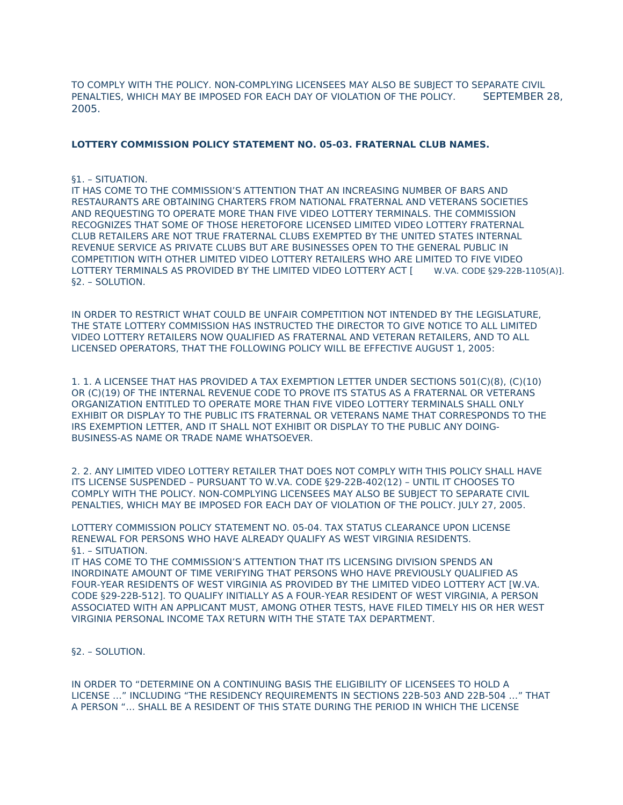TO COMPLY WITH THE POLICY. NON-COMPLYING LICENSEES MAY ALSO BE SUBJECT TO SEPARATE CIVIL PENALTIES, WHICH MAY BE IMPOSED FOR EACH DAY OF VIOLATION OF THE POLICY. SEPTEMBER 28, 2005.

## **LOTTERY COMMISSION POLICY STATEMENT NO. 05-03. FRATERNAL CLUB NAMES.**

#### §1. – SITUATION.

IT HAS COME TO THE COMMISSION'S ATTENTION THAT AN INCREASING NUMBER OF BARS AND RESTAURANTS ARE OBTAINING CHARTERS FROM NATIONAL FRATERNAL AND VETERANS SOCIETIES AND REQUESTING TO OPERATE MORE THAN FIVE VIDEO LOTTERY TERMINALS. THE COMMISSION RECOGNIZES THAT SOME OF THOSE HERETOFORE LICENSED LIMITED VIDEO LOTTERY FRATERNAL CLUB RETAILERS ARE NOT TRUE FRATERNAL CLUBS EXEMPTED BY THE UNITED STATES INTERNAL REVENUE SERVICE AS PRIVATE CLUBS BUT ARE BUSINESSES OPEN TO THE GENERAL PUBLIC IN COMPETITION WITH OTHER LIMITED VIDEO LOTTERY RETAILERS WHO ARE LIMITED TO FIVE VIDEO LOTTERY TERMINALS AS PROVIDED BY THE LIMITED VIDEO LOTTERY ACT [ W.VA. CODE §29-22B-1105(A)]. §2. – SOLUTION.

IN ORDER TO RESTRICT WHAT COULD BE UNFAIR COMPETITION NOT INTENDED BY THE LEGISLATURE, THE STATE LOTTERY COMMISSION HAS INSTRUCTED THE DIRECTOR TO GIVE NOTICE TO ALL LIMITED VIDEO LOTTERY RETAILERS NOW QUALIFIED AS FRATERNAL AND VETERAN RETAILERS, AND TO ALL LICENSED OPERATORS, THAT THE FOLLOWING POLICY WILL BE EFFECTIVE AUGUST 1, 2005:

1. 1. A LICENSEE THAT HAS PROVIDED A TAX EXEMPTION LETTER UNDER SECTIONS 501(C)(8), (C)(10) OR (C)(19) OF THE INTERNAL REVENUE CODE TO PROVE ITS STATUS AS A FRATERNAL OR VETERANS ORGANIZATION ENTITLED TO OPERATE MORE THAN FIVE VIDEO LOTTERY TERMINALS SHALL ONLY EXHIBIT OR DISPLAY TO THE PUBLIC ITS FRATERNAL OR VETERANS NAME THAT CORRESPONDS TO THE IRS EXEMPTION LETTER, AND IT SHALL NOT EXHIBIT OR DISPLAY TO THE PUBLIC ANY DOING-BUSINESS-AS NAME OR TRADE NAME WHATSOEVER.

2. 2. ANY LIMITED VIDEO LOTTERY RETAILER THAT DOES NOT COMPLY WITH THIS POLICY SHALL HAVE ITS LICENSE SUSPENDED – PURSUANT TO W.VA. CODE §29-22B-402(12) – UNTIL IT CHOOSES TO COMPLY WITH THE POLICY. NON-COMPLYING LICENSEES MAY ALSO BE SUBJECT TO SEPARATE CIVIL PENALTIES, WHICH MAY BE IMPOSED FOR EACH DAY OF VIOLATION OF THE POLICY. JULY 27, 2005.

LOTTERY COMMISSION POLICY STATEMENT NO. 05-04. TAX STATUS CLEARANCE UPON LICENSE RENEWAL FOR PERSONS WHO HAVE ALREADY QUALIFY AS WEST VIRGINIA RESIDENTS. §1. – SITUATION.

IT HAS COME TO THE COMMISSION'S ATTENTION THAT ITS LICENSING DIVISION SPENDS AN INORDINATE AMOUNT OF TIME VERIFYING THAT PERSONS WHO HAVE PREVIOUSLY QUALIFIED AS FOUR-YEAR RESIDENTS OF WEST VIRGINIA AS PROVIDED BY THE LIMITED VIDEO LOTTERY ACT [W.VA. CODE §29-22B-512]. TO QUALIFY INITIALLY AS A FOUR-YEAR RESIDENT OF WEST VIRGINIA, A PERSON ASSOCIATED WITH AN APPLICANT MUST, AMONG OTHER TESTS, HAVE FILED TIMELY HIS OR HER WEST VIRGINIA PERSONAL INCOME TAX RETURN WITH THE STATE TAX DEPARTMENT.

§2. – SOLUTION.

IN ORDER TO "DETERMINE ON A CONTINUING BASIS THE ELIGIBILITY OF LICENSEES TO HOLD A LICENSE …" INCLUDING "THE RESIDENCY REQUIREMENTS IN SECTIONS 22B-503 AND 22B-504 …" THAT A PERSON "… SHALL BE A RESIDENT OF THIS STATE DURING THE PERIOD IN WHICH THE LICENSE